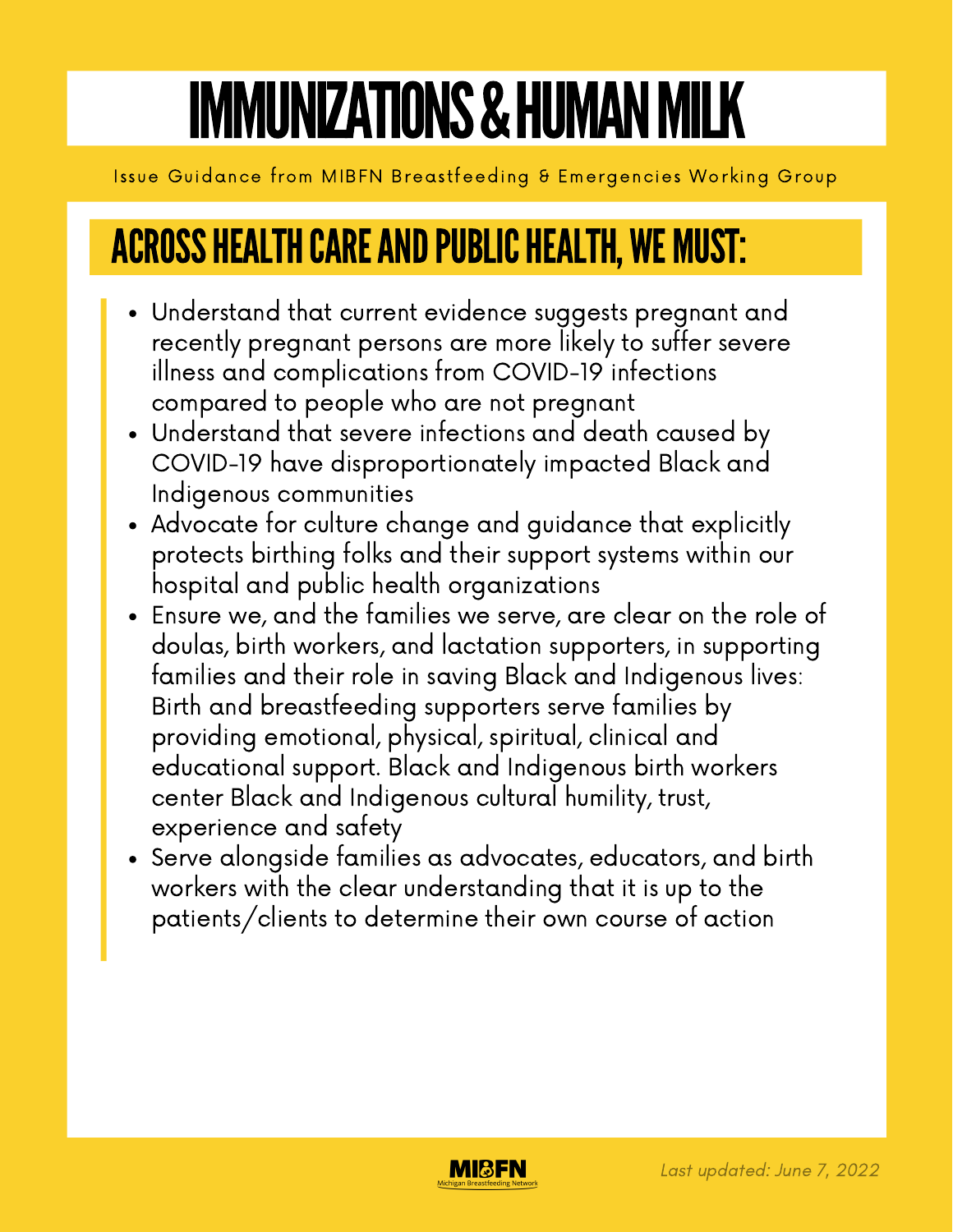# IMMUNIZATIONS & HUMAN MILK

Issue Guidance from MIBFN Breastfeeding & Emergencies Working Group

## **ACROSS HEALTH CARE AND PUBLIC HEALTH, WE MUST:**

- Understand that current evidence suggests pregnant and recently pregnant persons are more likely to suffer severe illness and complications from COVID-19 infections compared to people who are not pregnant
- Understand that severe infections and death caused by COVID-19 have disproportionately impacted Black and Indigenous communities
- Advocate for culture change and guidance that explicitly protects birthing folks and their support systems within our hospital and public health organizations
- Ensure we, and the families we serve, are clear on the role of doulas, birth workers, and lactation supporters, in supporting families and their role in saving Black and Indigenous lives: Birth and breastfeeding supporters serve families by providing emotional, physical, spiritual, clinical and educational support. Black and Indigenous birth workers center Black and Indigenous cultural humility, trust, experience and safety
- Serve alongside families as advocates, educators, and birth workers with the clear understanding that it is up to the patients/clients to determine their own course of action

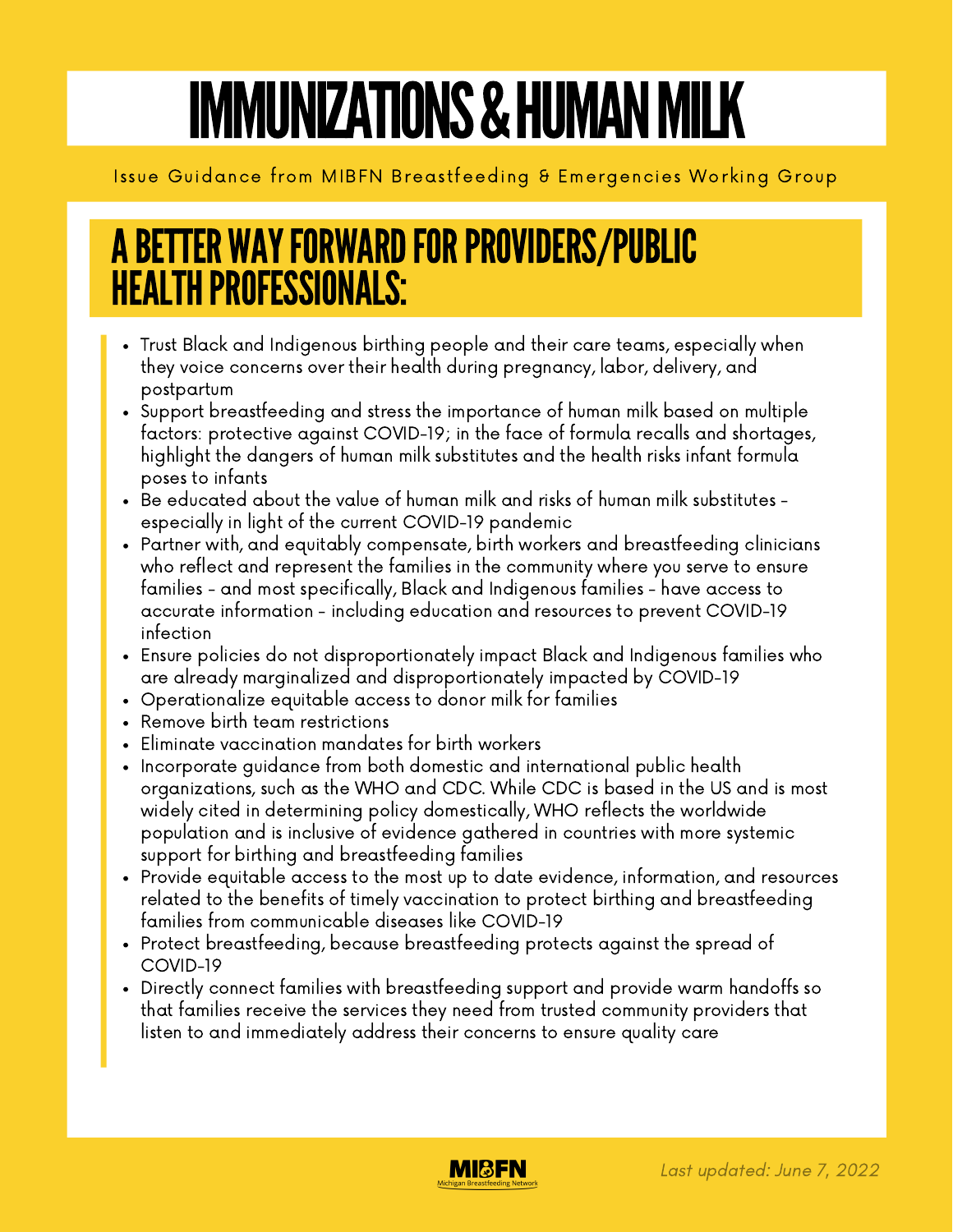# IMMUNIZATIONS & HUMAN MILK

### Issue Guidance from MIBFN Breastfeeding & Emergencies Working Group

### A BETTER WAY FORWARD FOR PROVIDERS/PUBLIC **HEALTH PROFESSIONALS:**

- Trust Black and Indigenous birthing people and their care teams, especially when they voice concerns over their health during pregnancy, labor, delivery, and postpartum
- Support breastfeeding and stress the importance of human milk based on multiple factors: protective against COVID-19; in the face of formula recalls and shortages, highlight the dangers of human milk substitutes and the health risks infant formula poses to infants
- Be educated about the value of human milk and risks of human milk substitutes especially in light of the current COVID-19 pandemic
- Partner with, and equitably compensate, birth workers and breastfeeding clinicians who reflect and represent the families in the community where you serve to ensure families - and most specifically, Black and Indigenous families - have access to accurate information - including education and resources to prevent COVID-19 infection
- Ensure policies do not disproportionately impact Black and Indigenous families who are already marginalized and disproportionately impacted by COVID-19
- Operationalize equitable access to donor milk for families
- Remove birth team restrictions
- Eliminate vaccination mandates for birth workers
- Incorporate guidance from both domestic and international public health organizations, such as the WHO and CDC. While CDC is based in the US and is most widely cited in determining policy domestically, WHO reflects the worldwide population and is inclusive of evidence gathered in countries with more systemic support for birthing and breastfeeding families
- Provide equitable access to the most up to date evidence, information, and resources related to the benefits of timely vaccination to protect birthing and breastfeeding families from communicable diseases like COVID-19
- Protect breastfeeding, because breastfeeding protects against the spread of COVID-19
- Directly connect families with breastfeeding support and provide warm handoffs so that families receive the services they need from trusted community providers that listen to and immediately address their concerns to ensure quality care